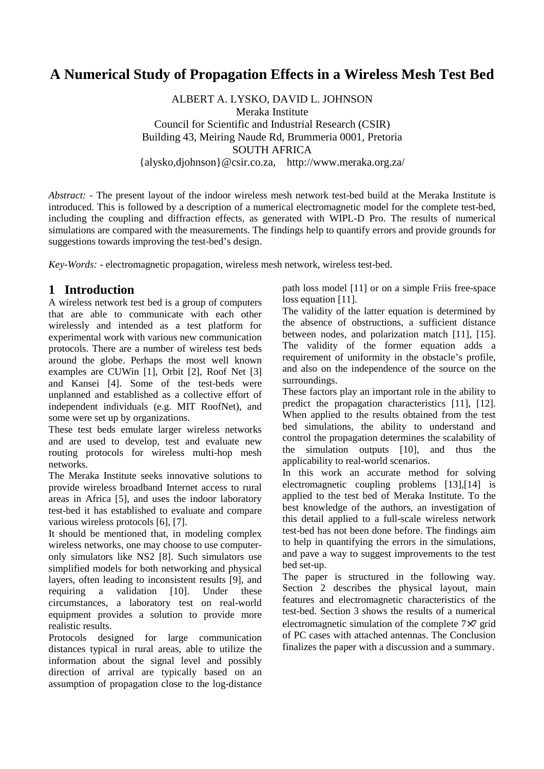# **A Numerical Study of Propagation Effects in a Wireless Mesh Test Bed**

ALBERT A. LYSKO, DAVID L. JOHNSON Meraka Institute Council for Scientific and Industrial Research (CSIR) Building 43, Meiring Naude Rd, Brummeria 0001, Pretoria SOUTH AFRICA {alysko,djohnson}@csir.co.za, http://www.meraka.org.za/

*Abstract: -* The present layout of the indoor wireless mesh network test-bed build at the Meraka Institute is introduced. This is followed by a description of a numerical electromagnetic model for the complete test-bed, including the coupling and diffraction effects, as generated with WIPL-D Pro. The results of numerical simulations are compared with the measurements. The findings help to quantify errors and provide grounds for suggestions towards improving the test-bed's design.

*Key-Words: -* electromagnetic propagation, wireless mesh network, wireless test-bed.

## **1 Introduction**

A wireless network test bed is a group of computers that are able to communicate with each other wirelessly and intended as a test platform for experimental work with various new communication protocols. There are a number of wireless test beds around the globe. Perhaps the most well known examples are CUWin [1], Orbit [2], Roof Net [3] and Kansei [4]. Some of the test-beds were unplanned and established as a collective effort of independent individuals (e.g. MIT RoofNet), and some were set up by organizations.

These test beds emulate larger wireless networks and are used to develop, test and evaluate new routing protocols for wireless multi-hop mesh networks.

The Meraka Institute seeks innovative solutions to provide wireless broadband Internet access to rural areas in Africa [5], and uses the indoor laboratory test-bed it has established to evaluate and compare various wireless protocols [6], [7].

It should be mentioned that, in modeling complex wireless networks, one may choose to use computeronly simulators like NS2 [8]. Such simulators use simplified models for both networking and physical layers, often leading to inconsistent results [9], and requiring a validation [10]. Under these circumstances, a laboratory test on real-world equipment provides a solution to provide more realistic results.

Protocols designed for large communication distances typical in rural areas, able to utilize the information about the signal level and possibly direction of arrival are typically based on an assumption of propagation close to the log-distance path loss model [11] or on a simple Friis free-space loss equation [11].

The validity of the latter equation is determined by the absence of obstructions, a sufficient distance between nodes, and polarization match [11], [15]. The validity of the former equation adds a requirement of uniformity in the obstacle's profile, and also on the independence of the source on the surroundings.

These factors play an important role in the ability to predict the propagation characteristics [11], [12]. When applied to the results obtained from the test bed simulations, the ability to understand and control the propagation determines the scalability of the simulation outputs [10], and thus the applicability to real-world scenarios.

In this work an accurate method for solving electromagnetic coupling problems [13],[14] is applied to the test bed of Meraka Institute. To the best knowledge of the authors, an investigation of this detail applied to a full-scale wireless network test-bed has not been done before. The findings aim to help in quantifying the errors in the simulations, and pave a way to suggest improvements to the test bed set-up.

The paper is structured in the following way. Section 2 describes the physical layout, main features and electromagnetic characteristics of the test-bed. Section 3 shows the results of a numerical electromagnetic simulation of the complete 7×7 grid of PC cases with attached antennas. The Conclusion finalizes the paper with a discussion and a summary.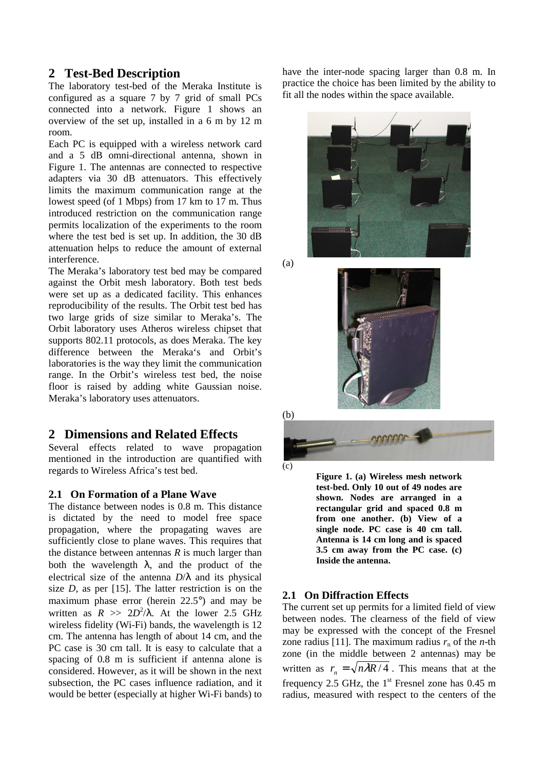## **2 Test-Bed Description**

The laboratory test-bed of the Meraka Institute is configured as a square 7 by 7 grid of small PCs connected into a network. Figure 1 shows an overview of the set up, installed in a 6 m by 12 m room.

Each PC is equipped with a wireless network card and a 5 dB omni-directional antenna, shown in Figure 1. The antennas are connected to respective adapters via 30 dB attenuators. This effectively limits the maximum communication range at the lowest speed (of 1 Mbps) from 17 km to 17 m. Thus introduced restriction on the communication range permits localization of the experiments to the room where the test bed is set up. In addition, the 30 dB attenuation helps to reduce the amount of external interference.

The Meraka's laboratory test bed may be compared against the Orbit mesh laboratory. Both test beds were set up as a dedicated facility. This enhances reproducibility of the results. The Orbit test bed has two large grids of size similar to Meraka's. The Orbit laboratory uses Atheros wireless chipset that supports 802.11 protocols, as does Meraka. The key difference between the Meraka's and Orbit's laboratories is the way they limit the communication range. In the Orbit's wireless test bed, the noise floor is raised by adding white Gaussian noise. Meraka's laboratory uses attenuators.

## **2 Dimensions and Related Effects**

Several effects related to wave propagation mentioned in the introduction are quantified with regards to Wireless Africa's test bed.

#### **2.1 On Formation of a Plane Wave**

The distance between nodes is 0.8 m. This distance is dictated by the need to model free space propagation, where the propagating waves are sufficiently close to plane waves. This requires that the distance between antennas *R* is much larger than both the wavelength  $\lambda$ , and the product of the electrical size of the antenna *D*/λ and its physical size *D*, as per [15]. The latter restriction is on the maximum phase error (herein 22.5°) and may be written as  $R \gg 2D^2/\lambda$ . At the lower 2.5 GHz wireless fidelity (Wi-Fi) bands, the wavelength is 12 cm. The antenna has length of about 14 cm, and the PC case is 30 cm tall. It is easy to calculate that a spacing of 0.8 m is sufficient if antenna alone is considered. However, as it will be shown in the next subsection, the PC cases influence radiation, and it would be better (especially at higher Wi-Fi bands) to

have the inter-node spacing larger than 0.8 m. In practice the choice has been limited by the ability to fit all the nodes within the space available.



(a)



(b)  $(c)$ 

> **Figure 1. (a) Wireless mesh network test-bed. Only 10 out of 49 nodes are shown. Nodes are arranged in a rectangular grid and spaced 0.8 m from one another. (b) View of a single node. PC case is 40 cm tall. Antenna is 14 cm long and is spaced 3.5 cm away from the PC case. (c) Inside the antenna.**

#### **2.1 On Diffraction Effects**

The current set up permits for a limited field of view between nodes. The clearness of the field of view may be expressed with the concept of the Fresnel zone radius [11]. The maximum radius  $r_n$  of the *n*-th zone (in the middle between 2 antennas) may be written as  $r_n = \sqrt{n\lambda R/4}$ . This means that at the frequency 2.5 GHz, the  $1<sup>st</sup>$  Fresnel zone has 0.45 m radius, measured with respect to the centers of the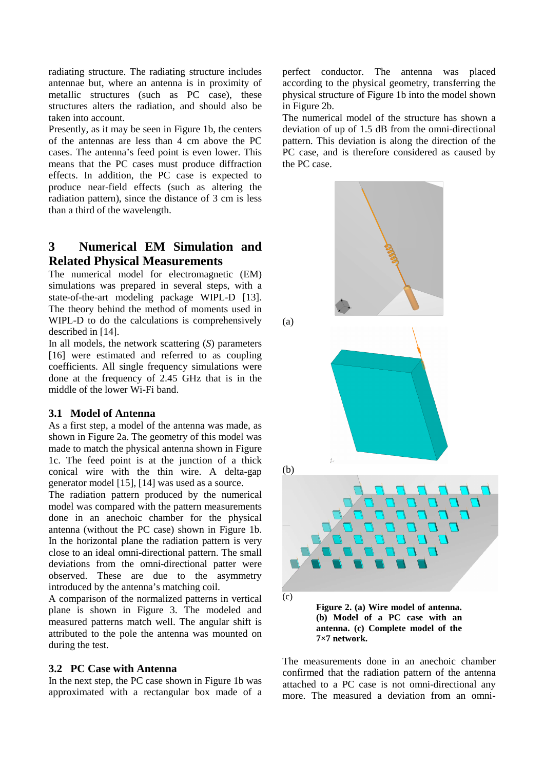radiating structure. The radiating structure includes antennae but, where an antenna is in proximity of metallic structures (such as PC case), these structures alters the radiation, and should also be taken into account.

Presently, as it may be seen in Figure 1b, the centers of the antennas are less than 4 cm above the PC cases. The antenna's feed point is even lower. This means that the PC cases must produce diffraction effects. In addition, the PC case is expected to produce near-field effects (such as altering the radiation pattern), since the distance of 3 cm is less than a third of the wavelength.

## **3 Numerical EM Simulation and Related Physical Measurements**

The numerical model for electromagnetic (EM) simulations was prepared in several steps, with a state-of-the-art modeling package WIPL-D [13]. The theory behind the method of moments used in WIPL-D to do the calculations is comprehensively described in [14].

In all models, the network scattering (*S*) parameters [16] were estimated and referred to as coupling coefficients. All single frequency simulations were done at the frequency of 2.45 GHz that is in the middle of the lower Wi-Fi band.

## **3.1 Model of Antenna**

As a first step, a model of the antenna was made, as shown in Figure 2a. The geometry of this model was made to match the physical antenna shown in Figure 1c. The feed point is at the junction of a thick conical wire with the thin wire. A delta-gap generator model [15], [14] was used as a source.

The radiation pattern produced by the numerical model was compared with the pattern measurements done in an anechoic chamber for the physical antenna (without the PC case) shown in Figure 1b. In the horizontal plane the radiation pattern is very close to an ideal omni-directional pattern. The small deviations from the omni-directional patter were observed. These are due to the asymmetry introduced by the antenna's matching coil.

A comparison of the normalized patterns in vertical plane is shown in Figure 3. The modeled and measured patterns match well. The angular shift is attributed to the pole the antenna was mounted on during the test.

## **3.2 PC Case with Antenna**

In the next step, the PC case shown in Figure 1b was approximated with a rectangular box made of a

perfect conductor. The antenna was placed according to the physical geometry, transferring the physical structure of Figure 1b into the model shown in Figure 2b.

The numerical model of the structure has shown a deviation of up of 1.5 dB from the omni-directional pattern. This deviation is along the direction of the PC case, and is therefore considered as caused by the PC case.



The measurements done in an anechoic chamber confirmed that the radiation pattern of the antenna attached to a PC case is not omni-directional any more. The measured a deviation from an omni-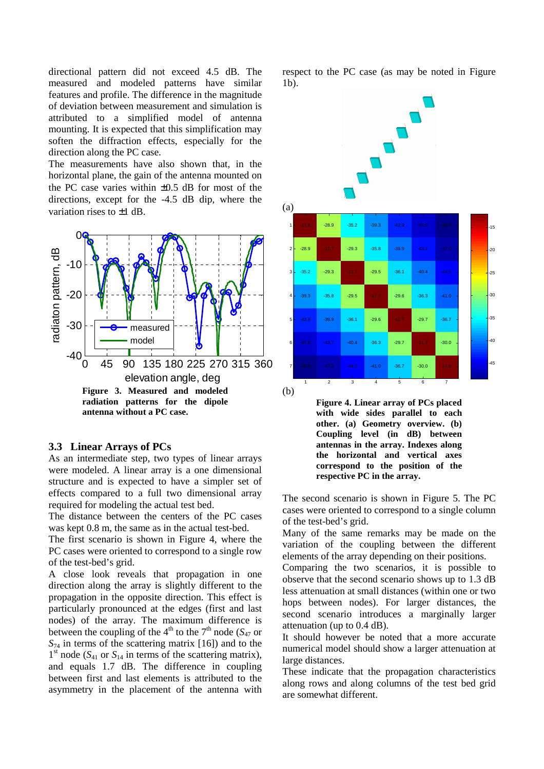directional pattern did not exceed 4.5 dB. The measured and modeled patterns have similar features and profile. The difference in the magnitude of deviation between measurement and simulation is attributed to a simplified model of antenna mounting. It is expected that this simplification may soften the diffraction effects, especially for the direction along the PC case.

The measurements have also shown that, in the horizontal plane, the gain of the antenna mounted on the PC case varies within ±0.5 dB for most of the directions, except for the -4.5 dB dip, where the variation rises to ±1 dB.



#### **3.3 Linear Arrays of PCs**

As an intermediate step, two types of linear arrays were modeled. A linear array is a one dimensional structure and is expected to have a simpler set of effects compared to a full two dimensional array required for modeling the actual test bed.

The distance between the centers of the PC cases was kept 0.8 m, the same as in the actual test-bed.

The first scenario is shown in Figure 4, where the PC cases were oriented to correspond to a single row of the test-bed's grid.

A close look reveals that propagation in one direction along the array is slightly different to the propagation in the opposite direction. This effect is particularly pronounced at the edges (first and last nodes) of the array. The maximum difference is between the coupling of the 4<sup>th</sup> to the 7<sup>th</sup> node ( $S_{47}$  or *S*74 in terms of the scattering matrix [16]) and to the  $1<sup>st</sup>$  node ( $S<sub>41</sub>$  or  $S<sub>14</sub>$  in terms of the scattering matrix), and equals 1.7 dB. The difference in coupling between first and last elements is attributed to the asymmetry in the placement of the antenna with

respect to the PC case (as may be noted in Figure 1b).



**Figure 4. Linear array of PCs placed with wide sides parallel to each other. (a) Geometry overview. (b) Coupling level (in dB) between antennas in the array. Indexes along the horizontal and vertical axes correspond to the position of the respective PC in the array.**

The second scenario is shown in Figure 5. The PC cases were oriented to correspond to a single column of the test-bed's grid.

Many of the same remarks may be made on the variation of the coupling between the different elements of the array depending on their positions.

Comparing the two scenarios, it is possible to observe that the second scenario shows up to 1.3 dB less attenuation at small distances (within one or two hops between nodes). For larger distances, the second scenario introduces a marginally larger attenuation (up to 0.4 dB).

It should however be noted that a more accurate numerical model should show a larger attenuation at large distances.

These indicate that the propagation characteristics along rows and along columns of the test bed grid are somewhat different.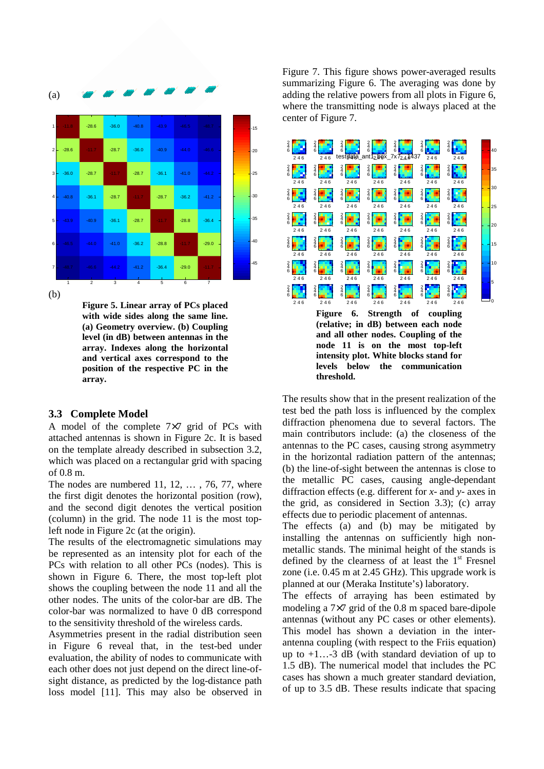

**Figure 5. Linear array of PCs placed with wide sides along the same line. (a) Geometry overview. (b) Coupling level (in dB) between antennas in the array. Indexes along the horizontal and vertical axes correspond to the position of the respective PC in the array.**

## **3.3 Complete Model**

A model of the complete 7×7 grid of PCs with attached antennas is shown in Figure 2c. It is based on the template already described in subsection 3.2, which was placed on a rectangular grid with spacing of 0.8 m.

The nodes are numbered 11, 12, ..., 76, 77, where the first digit denotes the horizontal position (row), and the second digit denotes the vertical position (column) in the grid. The node 11 is the most topleft node in Figure 2c (at the origin).

The results of the electromagnetic simulations may be represented as an intensity plot for each of the PCs with relation to all other PCs (nodes). This is shown in Figure 6. There, the most top-left plot shows the coupling between the node 11 and all the other nodes. The units of the color-bar are dB. The color-bar was normalized to have 0 dB correspond to the sensitivity threshold of the wireless cards.

Asymmetries present in the radial distribution seen in Figure 6 reveal that, in the test-bed under evaluation, the ability of nodes to communicate with each other does not just depend on the direct line-ofsight distance, as predicted by the log-distance path loss model [11]. This may also be observed in

Figure 7. This figure shows power-averaged results summarizing Figure 6. The averaging was done by adding the relative powers from all plots in Figure 6, where the transmitting node is always placed at the center of Figure 7.



The results show that in the present realization of the test bed the path loss is influenced by the complex diffraction phenomena due to several factors. The main contributors include: (a) the closeness of the antennas to the PC cases, causing strong asymmetry in the horizontal radiation pattern of the antennas; (b) the line-of-sight between the antennas is close to the metallic PC cases, causing angle-dependant diffraction effects (e.g. different for *x*- and *y*- axes in the grid, as considered in Section 3.3); (c) array effects due to periodic placement of antennas.

**threshold.**

The effects (a) and (b) may be mitigated by installing the antennas on sufficiently high nonmetallic stands. The minimal height of the stands is defined by the clearness of at least the  $1<sup>st</sup>$  Fresnel zone (i.e. 0.45 m at 2.45 GHz). This upgrade work is planned at our (Meraka Institute's) laboratory.

The effects of arraying has been estimated by modeling a 7×7 grid of the 0.8 m spaced bare-dipole antennas (without any PC cases or other elements). This model has shown a deviation in the interantenna coupling (with respect to the Friis equation) up to  $+1...-3$  dB (with standard deviation of up to 1.5 dB). The numerical model that includes the PC cases has shown a much greater standard deviation, of up to 3.5 dB. These results indicate that spacing